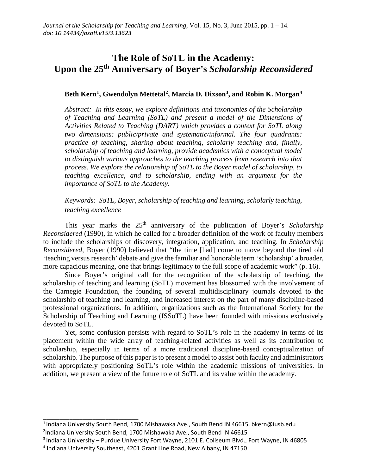# **The Role of SoTL in the Academy: Upon the 25th Anniversary of Boyer's** *Scholarship Reconsidered*

# Beth Kern<sup>1</sup>, Gwendolyn Mettetal<sup>2</sup>, Marcia D. Dixson<sup>3</sup>, and Robin K. Morgan<sup>4</sup>

*Abstract: In this essay, we explore definitions and taxonomies of the Scholarship of Teaching and Learning (SoTL) and present a model of the Dimensions of Activities Related to Teaching (DART) which provides a context for SoTL along two dimensions: public/private and systematic/informal. The four quadrants: practice of teaching, sharing about teaching, scholarly teaching and, finally, scholarship of teaching and learning, provide academics with a conceptual model to distinguish various approaches to the teaching process from research into that process. We explore the relationship of SoTL to the Boyer model of scholarship, to teaching excellence, and to scholarship, ending with an argument for the importance of SoTL to the Academy.* 

# *Keywords: SoTL, Boyer, scholarship of teaching and learning, scholarly teaching, teaching excellence*

This year marks the 25<sup>th</sup> anniversary of the publication of Boyer's *Scholarship Reconsidered* (1990), in which he called for a broader definition of the work of faculty members to include the scholarships of discovery, integration, application, and teaching. In *Scholarship Reconsidered*, Boyer (1990) believed that "the time [had] come to move beyond the tired old 'teaching versus research' debate and give the familiar and honorable term 'scholarship' a broader, more capacious meaning, one that brings legitimacy to the full scope of academic work" (p. 16).

Since Boyer's original call for the recognition of the scholarship of teaching, the scholarship of teaching and learning (SoTL) movement has blossomed with the involvement of the Carnegie Foundation, the founding of several multidisciplinary journals devoted to the scholarship of teaching and learning, and increased interest on the part of many discipline-based professional organizations. In addition, organizations such as the International Society for the Scholarship of Teaching and Learning (ISSoTL) have been founded with missions exclusively devoted to SoTL.

Yet, some confusion persists with regard to SoTL's role in the academy in terms of its placement within the wide array of teaching-related activities as well as its contribution to scholarship, especially in terms of a more traditional discipline-based conceptualization of scholarship. The purpose of this paper is to present a model to assist both faculty and administrators with appropriately positioning SoTL's role within the academic missions of universities. In addition, we present a view of the future role of SoTL and its value within the academy.

\_\_\_\_\_\_\_\_\_\_\_\_\_\_\_\_\_\_\_\_\_\_\_\_\_\_\_\_\_

<sup>&</sup>lt;sup>1</sup> Indiana University South Bend, 1700 Mishawaka Ave., South Bend IN 46615, bkern@iusb.edu

<sup>2</sup> Indiana University South Bend, 1700 Mishawaka Ave., South Bend IN 46615

 $3$ Indiana University – Purdue University Fort Wayne, 2101 E. Coliseum Blvd., Fort Wayne, IN 46805

<sup>4</sup> Indiana University Southeast, 4201 Grant Line Road, New Albany, IN 47150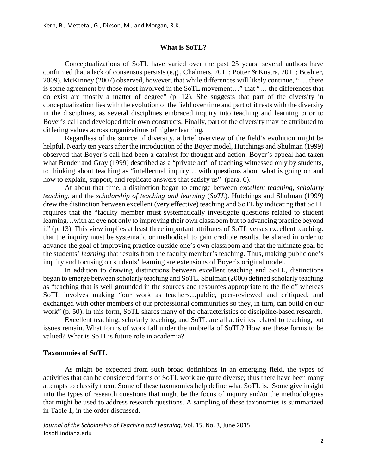#### **What is SoTL?**

Conceptualizations of SoTL have varied over the past 25 years; several authors have confirmed that a lack of consensus persists (e.g., Chalmers, 2011; Potter & Kustra, 2011; Boshier, 2009). McKinney (2007) observed, however, that while differences will likely continue, ". . . there is some agreement by those most involved in the SoTL movement…" that "… the differences that do exist are mostly a matter of degree" (p. 12). She suggests that part of the diversity in conceptualization lies with the evolution of the field over time and part of it rests with the diversity in the disciplines, as several disciplines embraced inquiry into teaching and learning prior to Boyer's call and developed their own constructs. Finally, part of the diversity may be attributed to differing values across organizations of higher learning.

Regardless of the source of diversity, a brief overview of the field's evolution might be helpful. Nearly ten years after the introduction of the Boyer model, Hutchings and Shulman (1999) observed that Boyer's call had been a catalyst for thought and action. Boyer's appeal had taken what Bender and Gray (1999) described as a "private act" of teaching witnessed only by students, to thinking about teaching as "intellectual inquiry… with questions about what is going on and how to explain, support, and replicate answers that satisfy us" (para. 6).

At about that time, a distinction began to emerge between *excellent teaching, scholarly teaching,* and the *scholarship of teaching and learning* (*SoTL*). Hutchings and Shulman (1999) drew the distinction between excellent (very effective) teaching and SoTL by indicating that SoTL requires that the "faculty member must systematically investigate questions related to student learning…with an eye not only to improving their own classroom but to advancing practice beyond it" (p. 13). This view implies at least three important attributes of SoTL versus excellent teaching: that the inquiry must be systematic or methodical to gain credible results, be shared in order to advance the goal of improving practice outside one's own classroom and that the ultimate goal be the students' *learning* that results from the faculty member's teaching. Thus, making public one's inquiry and focusing on students' learning are extensions of Boyer's original model.

In addition to drawing distinctions between excellent teaching and SoTL, distinctions began to emerge between scholarly teaching and SoTL. Shulman (2000) defined scholarly teaching as "teaching that is well grounded in the sources and resources appropriate to the field" whereas SoTL involves making "our work as teachers…public, peer-reviewed and critiqued, and exchanged with other members of our professional communities so they, in turn, can build on our work" (p. 50). In this form, SoTL shares many of the characteristics of discipline-based research.

Excellent teaching, scholarly teaching, and SoTL are all activities related to teaching, but issues remain. What forms of work fall under the umbrella of SoTL? How are these forms to be valued? What is SoTL's future role in academia?

#### **Taxonomies of SoTL**

As might be expected from such broad definitions in an emerging field, the types of activities that can be considered forms of SoTL work are quite diverse; thus there have been many attempts to classify them. Some of these taxonomies help define what SoTL is. Some give insight into the types of research questions that might be the focus of inquiry and/or the methodologies that might be used to address research questions. A sampling of these taxonomies is summarized in Table 1, in the order discussed.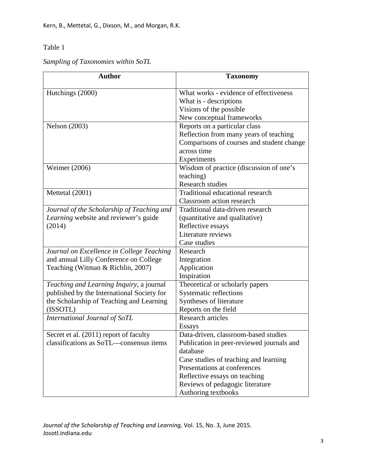# Table 1

*Sampling of Taxonomies within SoTL*

| <b>Author</b>                              | <b>Taxonomy</b>                           |
|--------------------------------------------|-------------------------------------------|
| Hutchings (2000)                           | What works - evidence of effectiveness    |
|                                            | What is - descriptions                    |
|                                            | Visions of the possible                   |
|                                            | New conceptual frameworks                 |
| <b>Nelson</b> (2003)                       | Reports on a particular class             |
|                                            | Reflection from many years of teaching    |
|                                            | Comparisons of courses and student change |
|                                            | across time                               |
|                                            | Experiments                               |
| Weimer (2006)                              | Wisdom of practice (discussion of one's   |
|                                            | teaching)                                 |
|                                            | <b>Research studies</b>                   |
| Mettetal (2001)                            | Traditional educational research          |
|                                            | Classroom action research                 |
| Journal of the Scholarship of Teaching and | Traditional data-driven research          |
| Learning website and reviewer's guide      | (quantitative and qualitative)            |
| (2014)                                     | Reflective essays                         |
|                                            | Literature reviews                        |
|                                            | Case studies                              |
| Journal on Excellence in College Teaching  | Research                                  |
| and annual Lilly Conference on College     | Integration                               |
| Teaching (Witman & Richlin, 2007)          | Application                               |
|                                            | Inspiration                               |
| Teaching and Learning Inquiry, a journal   | Theoretical or scholarly papers           |
| published by the International Society for | Systematic reflections                    |
| the Scholarship of Teaching and Learning   | Syntheses of literature                   |
| (ISSOTL)                                   | Reports on the field                      |
| International Journal of SoTL              | <b>Research articles</b>                  |
|                                            | <b>Essays</b>                             |
| Secret et al. (2011) report of faculty     | Data-driven, classroom-based studies      |
| classifications as SoTL-consensus items    | Publication in peer-reviewed journals and |
|                                            | database                                  |
|                                            | Case studies of teaching and learning     |
|                                            | Presentations at conferences              |
|                                            | Reflective essays on teaching             |
|                                            | Reviews of pedagogic literature           |
|                                            | Authoring textbooks                       |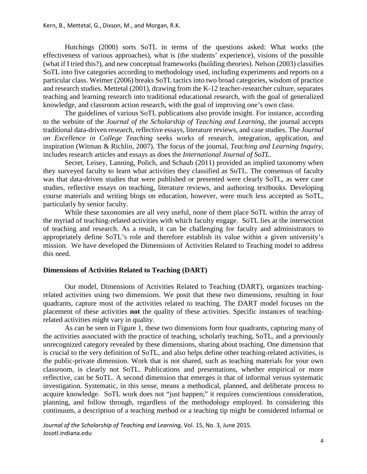Hutchings (2000) sorts SoTL in terms of the questions asked: What works (the effectiveness of various approaches), what is (the students' experience), visions of the possible (what if I tried this?), and new conceptual frameworks (building theories). Nelson (2003) classifies SoTL into five categories according to methodology used, including experiments and reports on a particular class. Weimer (2006) breaks SoTL tactics into two broad categories, wisdom of practice and research studies. Mettetal (2001), drawing from the K-12 teacher-researcher culture, separates teaching and learning research into traditional educational research, with the goal of generalized knowledge, and classroom action research, with the goal of improving one's own class.

The guidelines of various SoTL publications also provide insight. For instance, according to the website of the *Journal of the Scholarship of Teaching and Learning*, the journal accepts traditional data-driven research, reflective essays, literature reviews, and case studies. The *Journal on Excellence in College Teaching* seeks works of research, integration, application, and inspiration (Witman & Richlin, 2007). The focus of the journal, *Teaching and Learning Inquiry,* includes research articles and essays as does the *International Journal of SoTL*.

Secret, Leisey, Lanning, Polich, and Schaub (2011) provided an implied taxonomy when they surveyed faculty to learn what activities they classified as SoTL. The consensus of faculty was that data-driven studies that were published or presented were clearly SoTL, as were case studies, reflective essays on teaching, literature reviews, and authoring textbooks. Developing course materials and writing blogs on education, however, were much less accepted as SoTL, particularly by senior faculty.

While these taxonomies are all very useful, none of them place SoTL within the array of the myriad of teaching-related activities with which faculty engage. SoTL lies at the intersection of teaching and research. As a result, it can be challenging for faculty and administrators to appropriately define SoTL's role and therefore establish its value within a given university's mission. We have developed the Dimensions of Activities Related to Teaching model to address this need.

#### **Dimensions of Activities Related to Teaching (DART)**

Our model, Dimensions of Activities Related to Teaching (DART), organizes teachingrelated activities using two dimensions. We posit that these two dimensions, resulting in four quadrants, capture most of the activities related to teaching. The DART model focuses on the placement of these activities **not** the quality of these activities. Specific instances of teachingrelated activities might vary in quality.

As can be seen in Figure 1, these two dimensions form four quadrants, capturing many of the activities associated with the practice of teaching, scholarly teaching, SoTL, and a previously unrecognized category revealed by these dimensions, sharing about teaching. One dimension that is crucial to the very definition of SoTL, and also helps define other teaching-related activities, is the public-private dimension. Work that is not shared, such as teaching materials for your own classroom, is clearly not SoTL. Publications and presentations, whether empirical or more reflective, can be SoTL. A second dimension that emerges is that of informal versus systematic investigation. Systematic, in this sense, means a methodical, planned, and deliberate process to acquire knowledge. SoTL work does not "just happen;" it requires conscientious consideration, planning, and follow through, regardless of the methodology employed. In considering this continuum, a description of a teaching method or a teaching tip might be considered informal or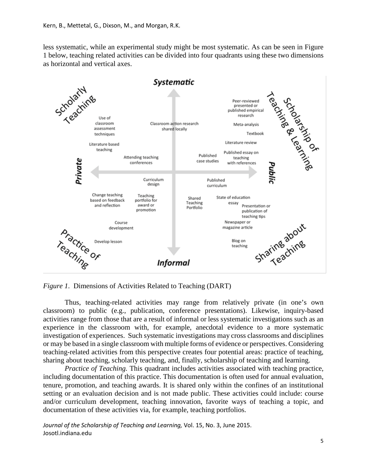less systematic, while an experimental study might be most systematic. As can be seen in Figure 1 below, teaching related activities can be divided into four quadrants using these two dimensions as horizontal and vertical axes.



*Figure 1*. Dimensions of Activities Related to Teaching (DART)

Thus, teaching-related activities may range from relatively private (in one's own classroom) to public (e.g., publication, conference presentations). Likewise, inquiry-based activities range from those that are a result of informal or less systematic investigations such as an experience in the classroom with, for example, anecdotal evidence to a more systematic investigation of experiences. Such systematic investigations may cross classrooms and disciplines or may be based in a single classroom with multiple forms of evidence or perspectives. Considering teaching-related activities from this perspective creates four potential areas: practice of teaching, sharing about teaching, scholarly teaching, and, finally, scholarship of teaching and learning.

*Practice of Teaching.* This quadrant includes activities associated with teaching practice, including documentation of this practice. This documentation is often used for annual evaluation, tenure, promotion, and teaching awards. It is shared only within the confines of an institutional setting or an evaluation decision and is not made public. These activities could include: course and/or curriculum development, teaching innovation, favorite ways of teaching a topic, and documentation of these activities via, for example, teaching portfolios.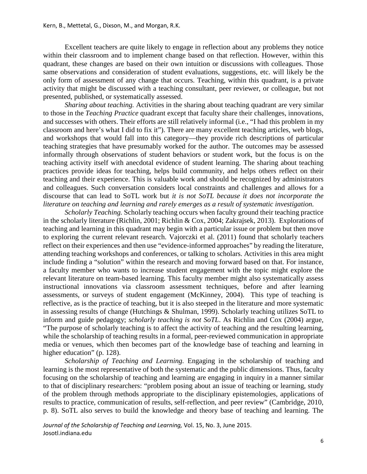Excellent teachers are quite likely to engage in reflection about any problems they notice within their classroom and to implement change based on that reflection. However, within this quadrant, these changes are based on their own intuition or discussions with colleagues. Those same observations and consideration of student evaluations, suggestions, etc. will likely be the only form of assessment of any change that occurs. Teaching, within this quadrant, is a private activity that might be discussed with a teaching consultant, peer reviewer, or colleague, but not presented, published, or systematically assessed.

*Sharing about teaching.* Activities in the sharing about teaching quadrant are very similar to those in the *Teaching Practice* quadrant except that faculty share their challenges, innovations, and successes with others. Their efforts are still relatively informal (i.e., "I had this problem in my classroom and here's what I did to fix it"). There are many excellent teaching articles, web blogs, and workshops that would fall into this category—they provide rich descriptions of particular teaching strategies that have presumably worked for the author. The outcomes may be assessed informally through observations of student behaviors or student work, but the focus is on the teaching activity itself with anecdotal evidence of student learning. The sharing about teaching practices provide ideas for teaching, helps build community, and helps others reflect on their teaching and their experience. This is valuable work and should be recognized by administrators and colleagues. Such conversation considers local constraints and challenges and allows for a discourse that can lead to SoTL work but *it is not SoTL because it does not incorporate the literature on teaching and learning and rarely emerges as a result of systematic investigation.* 

*Scholarly Teaching.* Scholarly teaching occurs when faculty ground their teaching practice in the scholarly literature (Richlin, 2001; Richlin & Cox, 2004; Zakrajsek, 2013). Explorations of teaching and learning in this quadrant may begin with a particular issue or problem but then move to exploring the current relevant research. Vajorczki et al. (2011) found that scholarly teachers reflect on their experiences and then use "evidence-informed approaches" by reading the literature, attending teaching workshops and conferences, or talking to scholars. Activities in this area might include finding a "solution" within the research and moving forward based on that. For instance, a faculty member who wants to increase student engagement with the topic might explore the relevant literature on team-based learning. This faculty member might also systematically assess instructional innovations via classroom assessment techniques, before and after learning assessments, or surveys of student engagement (McKinney, 2004). This type of teaching is reflective, as is the practice of teaching, but it is also steeped in the literature and more systematic in assessing results of change (Hutchings & Shulman, 1999). Scholarly teaching utilizes SoTL to inform and guide pedagogy; *scholarly teaching is not SoTL*. As Richlin and Cox (2004) argue, "The purpose of scholarly teaching is to affect the activity of teaching and the resulting learning, while the scholarship of teaching results in a formal, peer-reviewed communication in appropriate media or venues, which then becomes part of the knowledge base of teaching and learning in higher education" (p. 128).

*Scholarship of Teaching and Learning.* Engaging in the scholarship of teaching and learning is the most representative of both the systematic and the public dimensions. Thus, faculty focusing on the scholarship of teaching and learning are engaging in inquiry in a manner similar to that of disciplinary researchers: "problem posing about an issue of teaching or learning, study of the problem through methods appropriate to the disciplinary epistemologies, applications of results to practice, communication of results, self-reflection, and peer review" (Cambridge, 2010, p. 8). SoTL also serves to build the knowledge and theory base of teaching and learning. The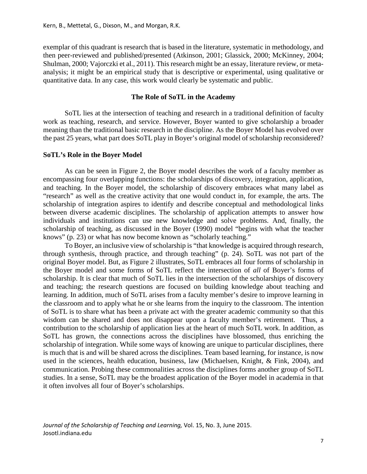exemplar of this quadrant is research that is based in the literature, systematic in methodology, and then peer-reviewed and published/presented (Atkinson, 2001; Glassick, 2000; McKinney, 2004; Shulman, 2000; Vajorczki et al., 2011). This research might be an essay, literature review, or metaanalysis; it might be an empirical study that is descriptive or experimental, using qualitative or quantitative data. In any case, this work would clearly be systematic and public.

#### **The Role of SoTL in the Academy**

SoTL lies at the intersection of teaching and research in a traditional definition of faculty work as teaching, research, and service. However, Boyer wanted to give scholarship a broader meaning than the traditional basic research in the discipline. As the Boyer Model has evolved over the past 25 years, what part does SoTL play in Boyer's original model of scholarship reconsidered?

#### **SoTL's Role in the Boyer Model**

As can be seen in Figure 2, the Boyer model describes the work of a faculty member as encompassing four overlapping functions: the scholarships of discovery, integration, application, and teaching. In the Boyer model, the scholarship of discovery embraces what many label as "research" as well as the creative activity that one would conduct in, for example, the arts. The scholarship of integration aspires to identify and describe conceptual and methodological links between diverse academic disciplines. The scholarship of application attempts to answer how individuals and institutions can use new knowledge and solve problems. And, finally, the scholarship of teaching, as discussed in the Boyer (1990) model "begins with what the teacher knows" (p. 23) or what has now become known as "scholarly teaching."

To Boyer, an inclusive view of scholarship is "that knowledge is acquired through research, through synthesis, through practice, and through teaching" (p. 24). SoTL was not part of the original Boyer model. But, as Figure 2 illustrates, SoTL embraces all four forms of scholarship in the Boyer model and some forms of SoTL reflect the intersection of *all* of Boyer's forms of scholarship. It is clear that much of SoTL lies in the intersection of the scholarships of discovery and teaching; the research questions are focused on building knowledge about teaching and learning. In addition, much of SoTL arises from a faculty member's desire to improve learning in the classroom and to apply what he or she learns from the inquiry to the classroom. The intention of SoTL is to share what has been a private act with the greater academic community so that this wisdom can be shared and does not disappear upon a faculty member's retirement. Thus, a contribution to the scholarship of application lies at the heart of much SoTL work. In addition, as SoTL has grown, the connections across the disciplines have blossomed, thus enriching the scholarship of integration. While some ways of knowing are unique to particular disciplines, there is much that is and will be shared across the disciplines. Team based learning, for instance, is now used in the sciences, health education, business, law (Michaelsen, Knight, & Fink, 2004), and communication. Probing these commonalities across the disciplines forms another group of SoTL studies. In a sense, SoTL may be the broadest application of the Boyer model in academia in that it often involves all four of Boyer's scholarships.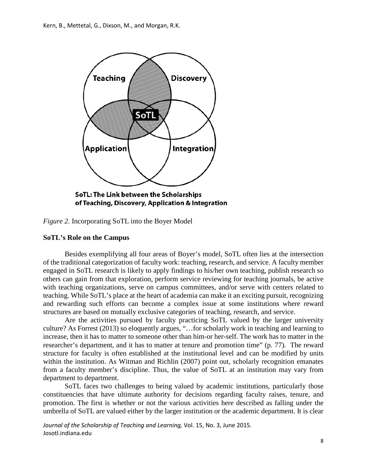

of Teaching, Discovery, Application & Integration

*Figure 2*. Incorporating SoTL into the Boyer Model

## **SoTL's Role on the Campus**

Besides exemplifying all four areas of Boyer's model, SoTL often lies at the intersection of the traditional categorization of faculty work: teaching, research, and service. A faculty member engaged in SoTL research is likely to apply findings to his/her own teaching, publish research so others can gain from that exploration, perform service reviewing for teaching journals, be active with teaching organizations, serve on campus committees, and/or serve with centers related to teaching. While SoTL's place at the heart of academia can make it an exciting pursuit, recognizing and rewarding such efforts can become a complex issue at some institutions where reward structures are based on mutually exclusive categories of teaching, research, and service.

Are the activities pursued by faculty practicing SoTL valued by the larger university culture? As Forrest (2013) so eloquently argues, "…for scholarly work in teaching and learning to increase, then it has to matter to someone other than him-or her-self. The work has to matter in the researcher's department, and it has to matter at tenure and promotion time" (p. 77). The reward structure for faculty is often established at the institutional level and can be modified by units within the institution. As Witman and Richlin (2007) point out, scholarly recognition emanates from a faculty member's discipline. Thus, the value of SoTL at an institution may vary from department to department.

SoTL faces two challenges to being valued by academic institutions, particularly those constituencies that have ultimate authority for decisions regarding faculty raises, tenure, and promotion. The first is whether or not the various activities here described as falling under the umbrella of SoTL are valued either by the larger institution or the academic department. It is clear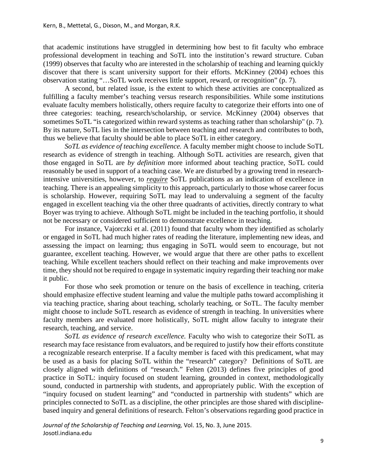that academic institutions have struggled in determining how best to fit faculty who embrace professional development in teaching and SoTL into the institution's reward structure. Cuban (1999) observes that faculty who are interested in the scholarship of teaching and learning quickly discover that there is scant university support for their efforts. McKinney (2004) echoes this observation stating "…SoTL work receives little support, reward, or recognition" (p. 7).

A second, but related issue, is the extent to which these activities are conceptualized as fulfilling a faculty member's teaching versus research responsibilities. While some institutions evaluate faculty members holistically, others require faculty to categorize their efforts into one of three categories: teaching, research/scholarship, or service. McKinney (2004) observes that sometimes SoTL "is categorized within reward systems as teaching rather than scholarship" (p. 7). By its nature, SoTL lies in the intersection between teaching and research and contributes to both, thus we believe that faculty should be able to place SoTL in either category.

*SoTL as evidence of teaching excellence.* A faculty member might choose to include SoTL research as evidence of strength in teaching. Although SoTL activities are research, given that those engaged in SoTL are *by definition* more informed about teaching practice, SoTL could reasonably be used in support of a teaching case. We are disturbed by a growing trend in researchintensive universities, however, to *require* SoTL publications as an indication of excellence in teaching. There is an appealing simplicity to this approach, particularly to those whose career focus is scholarship. However, requiring SoTL may lead to undervaluing a segment of the faculty engaged in excellent teaching via the other three quadrants of activities, directly contrary to what Boyer was trying to achieve. Although SoTL might be included in the teaching portfolio, it should not be necessary or considered sufficient to demonstrate excellence in teaching.

For instance, Vajorczki et al. (2011) found that faculty whom they identified as scholarly or engaged in SoTL had much higher rates of reading the literature, implementing new ideas, and assessing the impact on learning; thus engaging in SoTL would seem to encourage, but not guarantee, excellent teaching. However, we would argue that there are other paths to excellent teaching. While excellent teachers should reflect on their teaching and make improvements over time, they should not be required to engage in systematic inquiry regarding their teaching nor make it public.

For those who seek promotion or tenure on the basis of excellence in teaching, criteria should emphasize effective student learning and value the multiple paths toward accomplishing it via teaching practice, sharing about teaching, scholarly teaching, or SoTL. The faculty member might choose to include SoTL research as evidence of strength in teaching. In universities where faculty members are evaluated more holistically, SoTL might allow faculty to integrate their research, teaching, and service.

*SoTL as evidence of research excellence.* Faculty who wish to categorize their SoTL as research may face resistance from evaluators, and be required to justify how their efforts constitute a recognizable research enterprise. If a faculty member is faced with this predicament, what may be used as a basis for placing SoTL within the "research" category? Definitions of SoTL are closely aligned with definitions of "research." Felten (2013) defines five principles of good practice in SoTL: inquiry focused on student learning, grounded in context, methodologically sound, conducted in partnership with students, and appropriately public. With the exception of "inquiry focused on student learning" and "conducted in partnership with students" which are principles connected to SoTL as a discipline, the other principles are those shared with disciplinebased inquiry and general definitions of research. Felton's observations regarding good practice in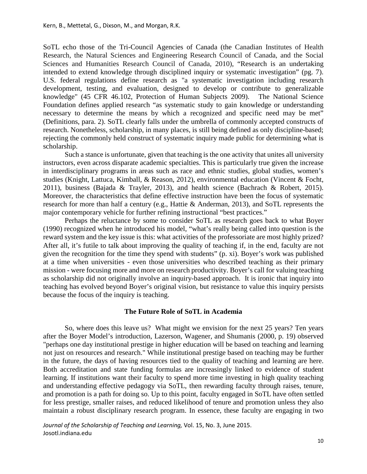SoTL echo those of the Tri-Council Agencies of Canada (the Canadian Institutes of Health Research, the Natural Sciences and Engineering Research Council of Canada, and the Social Sciences and Humanities Research Council of Canada, 2010), "Research is an undertaking intended to extend knowledge through disciplined inquiry or systematic investigation" (pg. 7). U.S. federal regulations define research as "a systematic investigation including research development, testing, and evaluation, designed to develop or contribute to generalizable knowledge" (45 CFR 46.102, Protection of Human Subjects 2009). The National Science Foundation defines applied research "as systematic study to gain knowledge or understanding necessary to determine the means by which a recognized and specific need may be met" (Definitions, para. 2). SoTL clearly falls under the umbrella of commonly accepted constructs of research. Nonetheless, scholarship, in many places, is still being defined as only discipline-based; rejecting the commonly held construct of systematic inquiry made public for determining what is scholarship.

Such a stance is unfortunate, given that teaching is the one activity that unites all university instructors, even across disparate academic specialties. This is particularly true given the increase in interdisciplinary programs in areas such as race and ethnic studies, global studies, women's studies (Knight, Lattuca, Kimball, & Reason, 2012), environmental education (Vincent & Focht, 2011), business (Bajada & Trayler, 2013), and health science (Bachrach & Robert, 2015). Moreover, the characteristics that define effective instruction have been the focus of systematic research for more than half a century (e.g., Hattie & Anderman, 2013), and SoTL represents the major contemporary vehicle for further refining instructional "best practices."

Perhaps the reluctance by some to consider SoTL as research goes back to what Boyer (1990) recognized when he introduced his model, "what's really being called into question is the reward system and the key issue is this: what activities of the professoriate are most highly prized? After all, it's futile to talk about improving the quality of teaching if, in the end, faculty are not given the recognition for the time they spend with students" (p. xi). Boyer's work was published at a time when universities - even those universities who described teaching as their primary mission - were focusing more and more on research productivity. Boyer's call for valuing teaching as scholarship did not originally involve an inquiry-based approach. It is ironic that inquiry into teaching has evolved beyond Boyer's original vision, but resistance to value this inquiry persists because the focus of the inquiry is teaching.

#### **The Future Role of SoTL in Academia**

So, where does this leave us? What might we envision for the next 25 years? Ten years after the Boyer Model's introduction, Lazerson, Wagener, and Shumanis (2000, p. 19) observed "perhaps one day institutional prestige in higher education will be based on teaching and learning not just on resources and research." While institutional prestige based on teaching may be further in the future, the days of having resources tied to the quality of teaching and learning are here. Both accreditation and state funding formulas are increasingly linked to evidence of student learning. If institutions want their faculty to spend more time investing in high quality teaching and understanding effective pedagogy via SoTL, then rewarding faculty through raises, tenure, and promotion is a path for doing so. Up to this point, faculty engaged in SoTL have often settled for less prestige, smaller raises, and reduced likelihood of tenure and promotion unless they also maintain a robust disciplinary research program. In essence, these faculty are engaging in two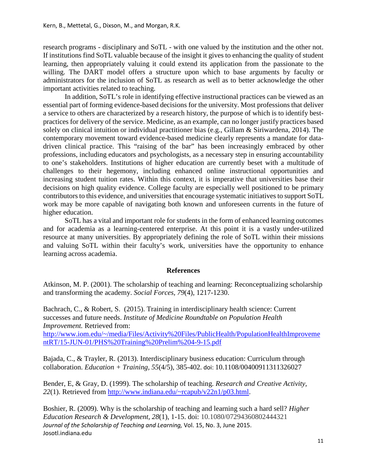research programs - disciplinary and SoTL - with one valued by the institution and the other not. If institutions find SoTL valuable because of the insight it gives to enhancing the quality of student learning, then appropriately valuing it could extend its application from the passionate to the willing. The DART model offers a structure upon which to base arguments by faculty or administrators for the inclusion of SoTL as research as well as to better acknowledge the other important activities related to teaching.

In addition, SoTL's role in identifying effective instructional practices can be viewed as an essential part of forming evidence-based decisions for the university. Most professions that deliver a service to others are characterized by a research history, the purpose of which is to identify bestpractices for delivery of the service. Medicine, as an example, can no longer justify practices based solely on clinical intuition or individual practitioner bias (e.g., Gillam & Siriwardena, 2014). The contemporary movement toward evidence-based medicine clearly represents a mandate for datadriven clinical practice. This "raising of the bar" has been increasingly embraced by other professions, including educators and psychologists, as a necessary step in ensuring accountability to one's stakeholders. Institutions of higher education are currently beset with a multitude of challenges to their hegemony, including enhanced online instructional opportunities and increasing student tuition rates. Within this context, it is imperative that universities base their decisions on high quality evidence. College faculty are especially well positioned to be primary contributors to this evidence, and universities that encourage systematic initiatives to support SoTL work may be more capable of navigating both known and unforeseen currents in the future of higher education.

SoTL has a vital and important role for students in the form of enhanced learning outcomes and for academia as a learning-centered enterprise. At this point it is a vastly under-utilized resource at many universities. By appropriately defining the role of SoTL within their missions and valuing SoTL within their faculty's work, universities have the opportunity to enhance learning across academia.

## **References**

Atkinson, M. P. (2001). The scholarship of teaching and learning: Reconceptualizing scholarship and transforming the academy. *Social Forces, 79*(4), 1217-1230.

Bachrach, C., & Robert, S. (2015). Training in interdisciplinary health science: Current successes and future needs. *Institute of Medicine Roundtable on Population Health Improvement.* Retrieved from: [http://www.iom.edu/~/media/Files/Activity%20Files/PublicHealth/PopulationHealthImproveme](http://www.iom.edu/%7E/media/Files/Activity%20Files/PublicHealth/PopulationHealthImprovementRT/15-JUN-01/PHS%20Training%20Prelim%204-9-15.pdf) [ntRT/15-JUN-01/PHS%20Training%20Prelim%204-9-15.pdf](http://www.iom.edu/%7E/media/Files/Activity%20Files/PublicHealth/PopulationHealthImprovementRT/15-JUN-01/PHS%20Training%20Prelim%204-9-15.pdf)

Bajada, C., & Trayler, R. (2013). Interdisciplinary business education: Curriculum through collaboration. *Education + Training, 55*(4/5), 385-402. doi: 10.1108/00400911311326027

Bender, E, & Gray, D. (1999). The scholarship of teaching. *Research and Creative Activity, 22*(1). Retrieved from [http://www.indiana.edu/~rcapub/v22n1/p03.html.](http://www.indiana.edu/%7Ercapub/v22n1/p03.html)

Boshier, R. (2009). Why is the scholarship of teaching and learning such a hard sell? *Higher Education Research & Development, 28*(1), 1-15. doi: 10.1080/07294360802444321 *Journal of the Scholarship of Teaching and Learning,* Vol. 15, No. 3, June 2015. Josotl.indiana.edu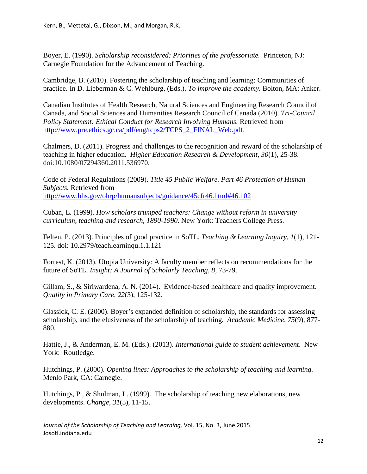Boyer, E. (1990). *Scholarship reconsidered: Priorities of the professoriate.* Princeton, NJ: Carnegie Foundation for the Advancement of Teaching.

Cambridge, B. (2010). Fostering the scholarship of teaching and learning: Communities of practice. In D. Lieberman & C. Wehlburg, (Eds.). *To improve the academy.* Bolton, MA: Anker.

Canadian Institutes of Health Research, Natural Sciences and Engineering Research Council of Canada, and Social Sciences and Humanities Research Council of Canada (2010). *Tri-Council Policy Statement: Ethical Conduct for Research Involving Humans.* Retrieved from [http://www.pre.ethics.gc.ca/pdf/eng/tcps2/TCPS\\_2\\_FINAL\\_Web.pdf.](http://www.pre.ethics.gc.ca/pdf/eng/tcps2/TCPS_2_FINAL_Web.pdf)

Chalmers, D. (2011). Progress and challenges to the recognition and reward of the scholarship of teaching in higher education. *Higher Education Research & Development, 30*(1), 25-38. doi:10.1080/07294360.2011.536970.

Code of Federal Regulations (2009). *Title 45 Public Welfare. Part 46 Protection of Human Subjects.* Retrieved from [http://www.hhs.gov/ohrp/humansubjects/guidance/45cfr46.html#46.102](http://www.hhs.gov/ohrp/humansubjects/guidance/45cfr46.html%2346.102)

Cuban, L. (1999). *How scholars trumped teachers: Change without reform in university curriculum, teaching and research, 1890-1990.* New York: Teachers College Press.

Felten, P. (2013). Principles of good practice in SoTL. *Teaching & Learning Inquiry, 1*(1), 121- 125. doi: 10.2979/teachlearninqu.1.1.121

Forrest, K. (2013). Utopia University: A faculty member reflects on recommendations for the future of SoTL. *Insight: A Journal of Scholarly Teaching, 8*, 73-79.

Gillam, S., & Siriwardena, A. N. (2014). Evidence-based healthcare and quality improvement. *Quality in Primary Care, 22*(3), 125-132.

Glassick, C. E. (2000). Boyer's expanded definition of scholarship, the standards for assessing scholarship, and the elusiveness of the scholarship of teaching. *Academic Medicine, 75*(9), 877- 880.

Hattie, J., & Anderman, E. M. (Eds.). (2013). *International guide to student achievement*. New York: Routledge.

Hutchings, P. (2000). *Opening lines: Approaches to the scholarship of teaching and learning.* Menlo Park, CA: Carnegie.

Hutchings, P., & Shulman, L. (1999). The scholarship of teaching new elaborations, new developments. *Change, 31*(5), 11-15.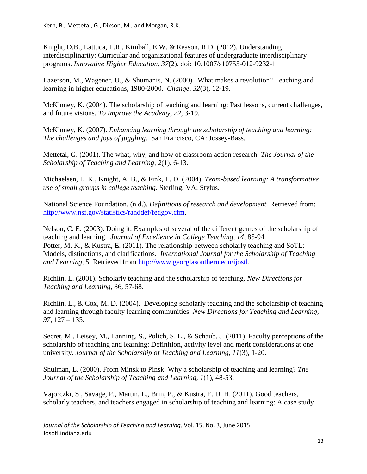Knight, D.B., Lattuca, L.R., Kimball, E.W. & Reason, R.D. (2012). Understanding interdisciplinarity: Curricular and organizational features of undergraduate interdisciplinary programs. *Innovative Higher Education*, *37*(2). doi: 10.1007/s10755-012-9232-1

Lazerson, M., Wagener, U., & Shumanis, N. (2000). What makes a revolution? Teaching and learning in higher educations, 1980-2000. *Change*, *32*(3), 12-19.

McKinney, K. (2004). The scholarship of teaching and learning: Past lessons, current challenges, and future visions. *To Improve the Academy, 22,* 3-19.

McKinney, K. (2007). *Enhancing learning through the scholarship of teaching and learning: The challenges and joys of juggling*. San Francisco, CA: Jossey-Bass.

Mettetal, G. (2001). The what, why, and how of classroom action research. *The Journal of the Scholarship of Teaching and Learning, 2*(1), 6-13.

Michaelsen, L. K., Knight, A. B., & Fink, L. D. (2004). *Team-based learning: A transformative use of small groups in college teaching.* Sterling, VA: Stylus.

National Science Foundation. (n.d.). *Definitions of research and development.* Retrieved from: [http://www.nsf.gov/statistics/randdef/fedgov.cfm.](http://www.nsf.gov/statistics/randdef/fedgov.cfm)

Nelson, C. E. (2003). Doing it: Examples of several of the different genres of the scholarship of teaching and learning. *Journal of Excellence in College Teaching, 14,* 85-94. Potter, M. K., & Kustra, E. (2011). The relationship between scholarly teaching and SoTL: Models, distinctions, and clarifications. *International Journal for the Scholarship of Teaching and Learning,* 5. Retrieved from [http://www.georglasouthern.edu/ijostl.](http://www.georglasouthern.edu/ijostl)

Richlin, L. (2001). Scholarly teaching and the scholarship of teaching. *New Directions for Teaching and Learning*, 86, 57-68.

Richlin, L., & Cox, M. D. (2004). Developing scholarly teaching and the scholarship of teaching and learning through faculty learning communities. *New Directions for Teaching and Learning, 97,* 127 – 135.

Secret, M., Leisey, M., Lanning, S., Polich, S. L., & Schaub, J. (2011). Faculty perceptions of the scholarship of teaching and learning: Definition, activity level and merit considerations at one university. *Journal of the Scholarship of Teaching and Learning*, *11*(3), 1-20.

Shulman, L. (2000). From Minsk to Pinsk: Why a scholarship of teaching and learning? *The Journal of the Scholarship of Teaching and Learning, 1*(1), 48-53.

Vajorczki, S., Savage, P., Martin, L., Brin, P., & Kustra, E. D. H. (2011). Good teachers, scholarly teachers, and teachers engaged in scholarship of teaching and learning: A case study